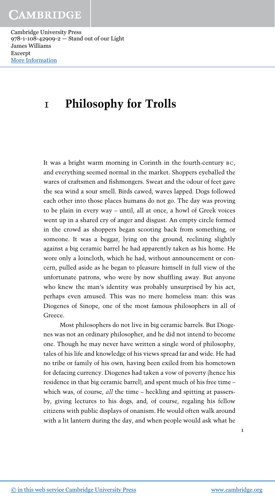## **Philosophy for Trolls**

It was a bright warm morning in Corinth in the fourth-century BC, and everything seemed normal in the market. Shoppers eyeballed the wares of craftsmen and fishmongers. Sweat and the odour of feet gave the sea wind a sour smell. Birds cawed, waves lapped. Dogs followed each other into those places humans do not go. The day was proving to be plain in every way – until, all at once, a howl of Greek voices went up in a shared cry of anger and disgust. An empty circle formed in the crowd as shoppers began scooting back from something, or someone. It was a beggar, lying on the ground, reclining slightly against a big ceramic barrel he had apparently taken as his home. He wore only a loincloth, which he had, without announcement or concern, pulled aside as he began to pleasure himself in full view of the unfortunate patrons, who were by now shuffling away. But anyone who knew the man's identity was probably unsurprised by his act, perhaps even amused. This was no mere homeless man: this was Diogenes of Sinope, one of the most famous philosophers in all of Greece.

Most philosophers do not live in big ceramic barrels. But Diogenes was not an ordinary philosopher, and he did not intend to become one. Though he may never have written a single word of philosophy, tales of his life and knowledge of his views spread far and wide. He had no tribe or family of his own, having been exiled from his hometown for defacing currency. Diogenes had taken a vow of poverty (hence his residence in that big ceramic barrel), and spent much of his free time – which was, of course, *all* the time – heckling and spitting at passersby, giving lectures to his dogs, and, of course, regaling his fellow citizens with public displays of onanism. He would often walk around with a lit lantern during the day, and when people would ask what he

 $\mathbf I$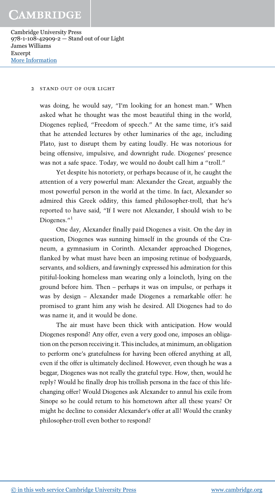## STAND OUT OF OUR LIGHT

was doing, he would say, "I'm looking for an honest man." When asked what he thought was the most beautiful thing in the world, Diogenes replied, "Freedom of speech." At the same time, it's said that he attended lectures by other luminaries of the age, including Plato, just to disrupt them by eating loudly. He was notorious for being offensive, impulsive, and downright rude. Diogenes' presence was not a safe space. Today, we would no doubt call him a "troll."

Yet despite his notoriety, or perhaps because of it, he caught the attention of a very powerful man: Alexander the Great, arguably the most powerful person in the world at the time. In fact, Alexander so admired this Greek oddity, this famed philosopher-troll, that he's reported to have said, "If I were not Alexander, I should wish to be Diogenes."<sup>1</sup>

One day, Alexander finally paid Diogenes a visit. On the day in question, Diogenes was sunning himself in the grounds of the Craneum, a gymnasium in Corinth. Alexander approached Diogenes, flanked by what must have been an imposing retinue of bodyguards, servants, and soldiers, and fawningly expressed his admiration for this pitiful-looking homeless man wearing only a loincloth, lying on the ground before him. Then – perhaps it was on impulse, or perhaps it was by design – Alexander made Diogenes a remarkable offer: he promised to grant him any wish he desired. All Diogenes had to do was name it, and it would be done.

The air must have been thick with anticipation. How would Diogenes respond? Any offer, even a very good one, imposes an obligation on the person receiving it. This includes, at minimum, an obligation to perform one's gratefulness for having been offered anything at all, even if the offer is ultimately declined. However, even though he was a beggar, Diogenes was not really the grateful type. How, then, would he reply? Would he finally drop his trollish persona in the face of this lifechanging offer? Would Diogenes ask Alexander to annul his exile from Sinope so he could return to his hometown after all these years? Or might he decline to consider Alexander's offer at all? Would the cranky philosopher-troll even bother to respond?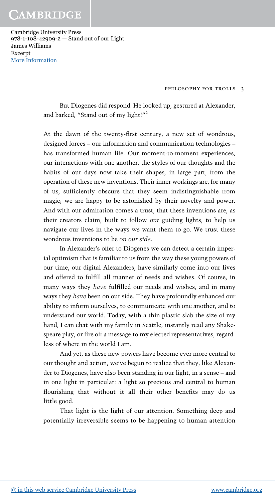## PHILOSOPHY FOR TROLLS 3

But Diogenes did respond. He looked up, gestured at Alexander, and barked, "Stand out of my light!"<sup>2</sup>

At the dawn of the twenty-first century, a new set of wondrous, designed forces – our information and communication technologies – has transformed human life. Our moment-to-moment experiences, our interactions with one another, the styles of our thoughts and the habits of our days now take their shapes, in large part, from the operation of these new inventions. Their inner workings are, for many of us, sufficiently obscure that they seem indistinguishable from magic; we are happy to be astonished by their novelty and power. And with our admiration comes a trust; that these inventions are, as their creators claim, built to follow *our* guiding lights, to help us navigate our lives in the ways *we* want them to go. We trust these wondrous inventions to be *on our side*.

In Alexander's offer to Diogenes we can detect a certain imperial optimism that is familiar to us from the way these young powers of our time, our digital Alexanders, have similarly come into our lives and offered to fulfill all manner of needs and wishes. Of course, in many ways they *have* fulfilled our needs and wishes, and in many ways they *have* been on our side. They have profoundly enhanced our ability to inform ourselves, to communicate with one another, and to understand our world. Today, with a thin plastic slab the size of my hand, I can chat with my family in Seattle, instantly read any Shakespeare play, or fire off a message to my elected representatives, regardless of where in the world I am.

And yet, as these new powers have become ever more central to our thought and action, we've begun to realize that they, like Alexander to Diogenes, have also been standing in our light, in a sense – and in one light in particular: a light so precious and central to human flourishing that without it all their other benefits may do us little good.

That light is the light of our attention. Something deep and potentially irreversible seems to be happening to human attention